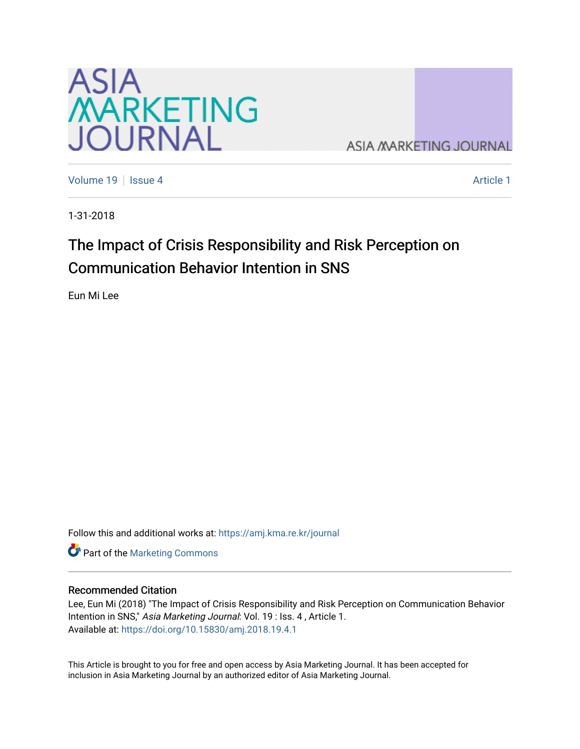

**ASIA MARKETING JOURNAL** 

[Volume 19](https://amj.kma.re.kr/journal/vol19) | [Issue 4](https://amj.kma.re.kr/journal/vol19/iss4) Article 1

1-31-2018

# The Impact of Crisis Responsibility and Risk Perception on Communication Behavior Intention in SNS

Eun Mi Lee

Follow this and additional works at: [https://amj.kma.re.kr/journal](https://amj.kma.re.kr/journal?utm_source=amj.kma.re.kr%2Fjournal%2Fvol19%2Fiss4%2F1&utm_medium=PDF&utm_campaign=PDFCoverPages) 

Part of the [Marketing Commons](http://network.bepress.com/hgg/discipline/638?utm_source=amj.kma.re.kr%2Fjournal%2Fvol19%2Fiss4%2F1&utm_medium=PDF&utm_campaign=PDFCoverPages)

#### Recommended Citation

Lee, Eun Mi (2018) "The Impact of Crisis Responsibility and Risk Perception on Communication Behavior Intention in SNS," Asia Marketing Journal: Vol. 19 : Iss. 4, Article 1. Available at:<https://doi.org/10.15830/amj.2018.19.4.1>

This Article is brought to you for free and open access by Asia Marketing Journal. It has been accepted for inclusion in Asia Marketing Journal by an authorized editor of Asia Marketing Journal.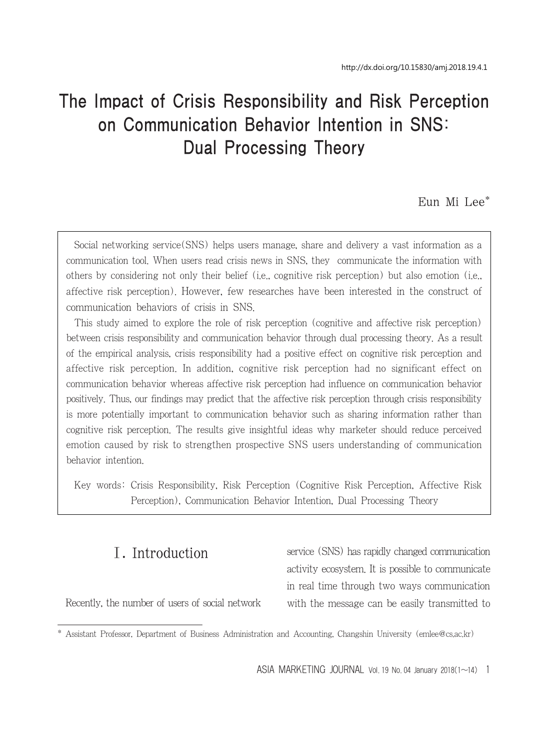# The Impact of Crisis Responsibility and Risk Perception on Communication Behavior Intention in SNS: Dual Processing Theory

Eun Mi Lee\*

Social networking service(SNS) helps users manage, share and delivery a vast information as a communication tool. When users read crisis news in SNS, they communicate the information with others by considering not only their belief (i.e., cognitive risk perception) but also emotion (i.e., affective risk perception). However, few researches have been interested in the construct of communication behaviors of crisis in SNS.

This study aimed to explore the role of risk perception (cognitive and affective risk perception) between crisis responsibility and communication behavior through dual processing theory. As a result of the empirical analysis, crisis responsibility had a positive effect on cognitive risk perception and affective risk perception. In addition, cognitive risk perception had no significant effect on communication behavior whereas affective risk perception had influence on communication behavior positively. Thus, our findings may predict that the affective risk perception through crisis responsibility is more potentially important to communication behavior such as sharing information rather than cognitive risk perception. The results give insightful ideas why marketer should reduce perceived emotion caused by risk to strengthen prospective SNS users understanding of communication behavior intention.

Key words: Crisis Responsibility, Risk Perception (Cognitive Risk Perception, Affective Risk Perception), Communication Behavior Intention, Dual Processing Theory

# Ⅰ. Introduction

service (SNS) has rapidly changed communication activity ecosystem. It is possible to communicate in real time through two ways communication with the message can be easily transmitted to

Recently, the number of users of social network

ASIA MARKETING JOURNAL Vol. 19 No. 04 January 2018( $1 \sim 14$ ) 1

<sup>\*</sup> Assistant Professor, Department of Business Administration and Accounting, Changshin University (emlee@cs.ac.kr)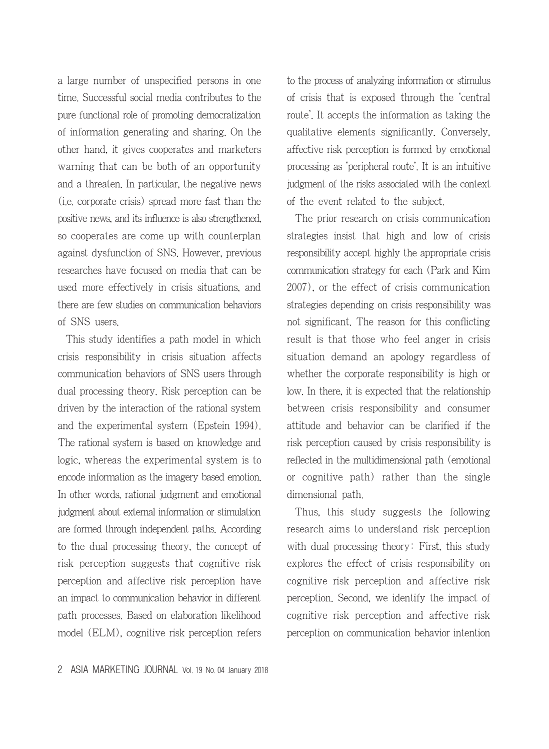a large number of unspecified persons in one time. Successful social media contributes to the pure functional role of promoting democratization of information generating and sharing. On the other hand, it gives cooperates and marketers warning that can be both of an opportunity and a threaten. In particular, the negative news (i.e. corporate crisis) spread more fast than the positive news, and its influence is also strengthened, so cooperates are come up with counterplan against dysfunction of SNS. However, previous researches have focused on media that can be used more effectively in crisis situations, and there are few studies on communication behaviors of SNS users.

This study identifies a path model in which crisis responsibility in crisis situation affects communication behaviors of SNS users through dual processing theory. Risk perception can be driven by the interaction of the rational system and the experimental system (Epstein 1994). The rational system is based on knowledge and logic, whereas the experimental system is to encode information as the imagery based emotion. In other words, rational judgment and emotional judgment about external information or stimulation are formed through independent paths. According to the dual processing theory, the concept of risk perception suggests that cognitive risk perception and affective risk perception have an impact to communication behavior in different path processes. Based on elaboration likelihood model (ELM), cognitive risk perception refers to the process of analyzing information or stimulus of crisis that is exposed through the 'central route'. It accepts the information as taking the qualitative elements significantly. Conversely, affective risk perception is formed by emotional processing as 'peripheral route'. It is an intuitive judgment of the risks associated with the context of the event related to the subject.

The prior research on crisis communication strategies insist that high and low of crisis responsibility accept highly the appropriate crisis communication strategy for each (Park and Kim 2007), or the effect of crisis communication strategies depending on crisis responsibility was not significant. The reason for this conflicting result is that those who feel anger in crisis situation demand an apology regardless of whether the corporate responsibility is high or low. In there, it is expected that the relationship between crisis responsibility and consumer attitude and behavior can be clarified if the risk perception caused by crisis responsibility is reflected in the multidimensional path (emotional or cognitive path) rather than the single dimensional path.

Thus, this study suggests the following research aims to understand risk perception with dual processing theory: First, this study explores the effect of crisis responsibility on cognitive risk perception and affective risk perception. Second, we identify the impact of cognitive risk perception and affective risk perception on communication behavior intention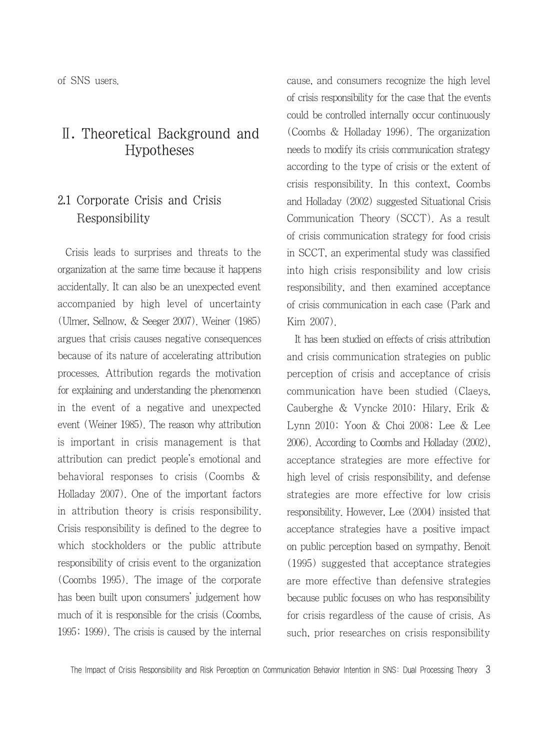of SNS users.

# Ⅱ. Theoretical Background and Hypotheses

## 2.1 Corporate Crisis and Crisis Responsibility

Crisis leads to surprises and threats to the organization at the same time because it happens accidentally. It can also be an unexpected event accompanied by high level of uncertainty (Ulmer, Sellnow, & Seeger 2007). Weiner (1985) argues that crisis causes negative consequences because of its nature of accelerating attribution processes. Attribution regards the motivation for explaining and understanding the phenomenon in the event of a negative and unexpected event (Weiner 1985). The reason why attribution is important in crisis management is that attribution can predict people's emotional and behavioral responses to crisis (Coombs & Holladay 2007). One of the important factors in attribution theory is crisis responsibility. Crisis responsibility is defined to the degree to which stockholders or the public attribute responsibility of crisis event to the organization (Coombs 1995). The image of the corporate has been built upon consumers' judgement how much of it is responsible for the crisis (Coombs, 1995; 1999). The crisis is caused by the internal cause, and consumers recognize the high level of crisis responsibility for the case that the events could be controlled internally occur continuously (Coombs & Holladay 1996). The organization needs to modify its crisis communication strategy according to the type of crisis or the extent of crisis responsibility. In this context, Coombs and Holladay (2002) suggested Situational Crisis Communication Theory (SCCT). As a result of crisis communication strategy for food crisis in SCCT, an experimental study was classified into high crisis responsibility and low crisis responsibility, and then examined acceptance of crisis communication in each case (Park and Kim 2007).

It has been studied on effects of crisis attribution and crisis communication strategies on public perception of crisis and acceptance of crisis communication have been studied (Claeys, Cauberghe & Vyncke 2010; Hilary, Erik & Lynn 2010; Yoon & Choi 2008; Lee & Lee 2006). According to Coombs and Holladay (2002), acceptance strategies are more effective for high level of crisis responsibility, and defense strategies are more effective for low crisis responsibility. However, Lee (2004) insisted that acceptance strategies have a positive impact on public perception based on sympathy. Benoit (1995) suggested that acceptance strategies are more effective than defensive strategies because public focuses on who has responsibility for crisis regardless of the cause of crisis. As such, prior researches on crisis responsibility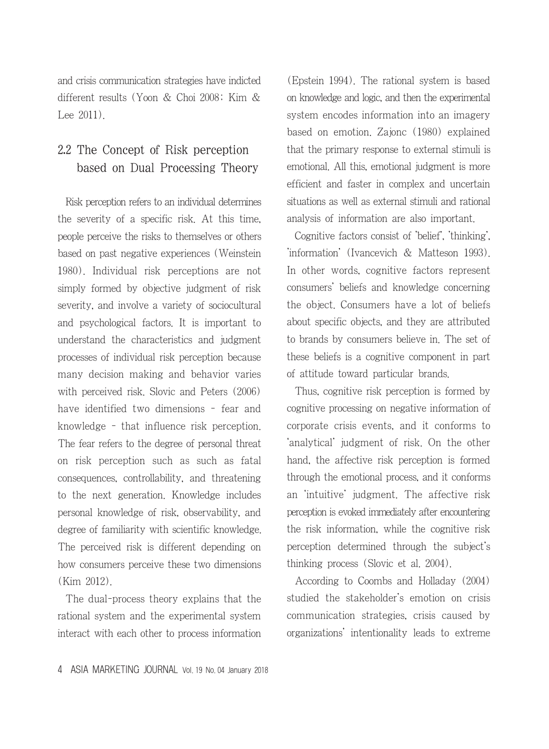and crisis communication strategies have indicted different results (Yoon & Choi 2008; Kim & Lee 2011).

# 2.2 The Concept of Risk perception based on Dual Processing Theory

Risk perception refers to an individual determines the severity of a specific risk. At this time, people perceive the risks to themselves or others based on past negative experiences (Weinstein 1980). Individual risk perceptions are not simply formed by objective judgment of risk severity, and involve a variety of sociocultural and psychological factors. It is important to understand the characteristics and judgment processes of individual risk perception because many decision making and behavior varies with perceived risk. Slovic and Peters (2006) have identified two dimensions - fear and knowledge - that influence risk perception. The fear refers to the degree of personal threat on risk perception such as such as fatal consequences, controllability, and threatening to the next generation. Knowledge includes personal knowledge of risk, observability, and degree of familiarity with scientific knowledge. The perceived risk is different depending on how consumers perceive these two dimensions (Kim 2012).

The dual-process theory explains that the rational system and the experimental system interact with each other to process information (Epstein 1994). The rational system is based on knowledge and logic, and then the experimental system encodes information into an imagery based on emotion. Zajonc (1980) explained that the primary response to external stimuli is emotional. All this, emotional judgment is more efficient and faster in complex and uncertain situations as well as external stimuli and rational analysis of information are also important.

Cognitive factors consist of 'belief', 'thinking', 'information' (Ivancevich & Matteson 1993). In other words, cognitive factors represent consumers' beliefs and knowledge concerning the object. Consumers have a lot of beliefs about specific objects, and they are attributed to brands by consumers believe in. The set of these beliefs is a cognitive component in part of attitude toward particular brands.

Thus, cognitive risk perception is formed by cognitive processing on negative information of corporate crisis events, and it conforms to 'analytical' judgment of risk. On the other hand, the affective risk perception is formed through the emotional process, and it conforms an 'intuitive' judgment. The affective risk perception is evoked immediately after encountering the risk information, while the cognitive risk perception determined through the subject's thinking process (Slovic et al. 2004).

According to Coombs and Holladay (2004) studied the stakeholder's emotion on crisis communication strategies, crisis caused by organizations' intentionality leads to extreme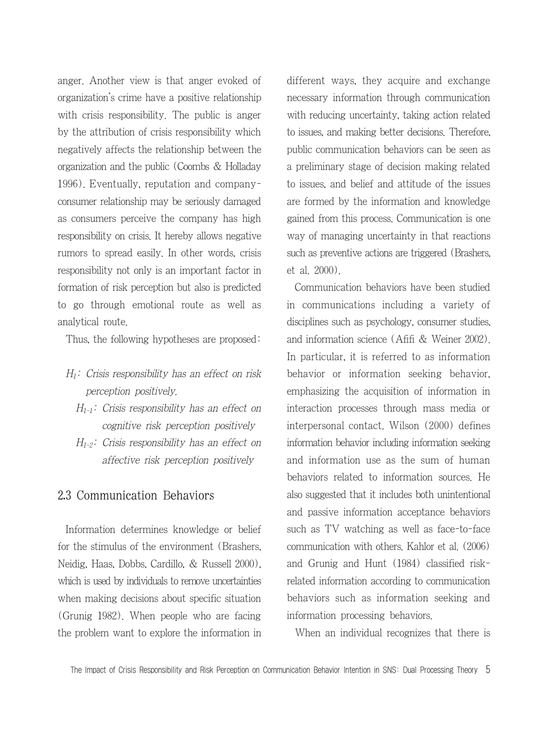anger. Another view is that anger evoked of organization's crime have a positive relationship with crisis responsibility. The public is anger by the attribution of crisis responsibility which negatively affects the relationship between the organization and the public (Coombs & Holladay 1996). Eventually, reputation and companyconsumer relationship may be seriously damaged as consumers perceive the company has high responsibility on crisis. It hereby allows negative rumors to spread easily. In other words, crisis responsibility not only is an important factor in formation of risk perception but also is predicted to go through emotional route as well as analytical route.

Thus, the following hypotheses are proposed:

- $H_1$ : Crisis responsibility has an effect on risk perception positively.
	- $H_{1-1}$ : Crisis responsibility has an effect on cognitive risk perception positively
	- $H_{1-2}$ : Crisis responsibility has an effect on affective risk perception positively

#### 2.3 Communication Behaviors

Information determines knowledge or belief for the stimulus of the environment (Brashers, Neidig, Haas, Dobbs, Cardillo, & Russell 2000), which is used by individuals to remove uncertainties when making decisions about specific situation (Grunig 1982). When people who are facing the problem want to explore the information in different ways, they acquire and exchange necessary information through communication with reducing uncertainty, taking action related to issues, and making better decisions. Therefore, public communication behaviors can be seen as a preliminary stage of decision making related to issues, and belief and attitude of the issues are formed by the information and knowledge gained from this process. Communication is one way of managing uncertainty in that reactions such as preventive actions are triggered (Brashers, et al. 2000).

Communication behaviors have been studied in communications including a variety of disciplines such as psychology, consumer studies, and information science (Afifi & Weiner 2002). In particular, it is referred to as information behavior or information seeking behavior, emphasizing the acquisition of information in interaction processes through mass media or interpersonal contact. Wilson (2000) defines information behavior including information seeking and information use as the sum of human behaviors related to information sources. He also suggested that it includes both unintentional and passive information acceptance behaviors such as TV watching as well as face-to-face communication with others. Kahlor et al. (2006) and Grunig and Hunt (1984) classified riskrelated information according to communication behaviors such as information seeking and information processing behaviors.

When an individual recognizes that there is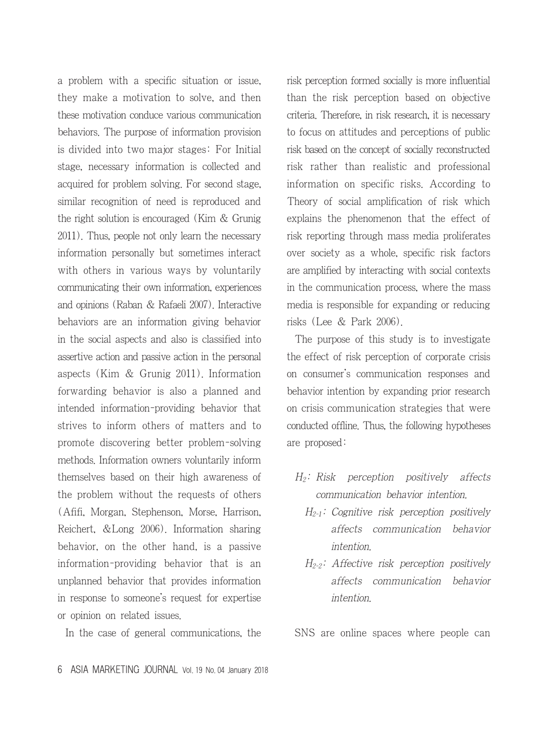a problem with a specific situation or issue, they make a motivation to solve, and then these motivation conduce various communication behaviors. The purpose of information provision is divided into two major stages: For Initial stage, necessary information is collected and acquired for problem solving. For second stage, similar recognition of need is reproduced and the right solution is encouraged (Kim & Grunig 2011). Thus, people not only learn the necessary information personally but sometimes interact with others in various ways by voluntarily communicating their own information, experiences and opinions (Raban & Rafaeli 2007). Interactive behaviors are an information giving behavior in the social aspects and also is classified into assertive action and passive action in the personal aspects (Kim & Grunig 2011). Information forwarding behavior is also a planned and intended information-providing behavior that strives to inform others of matters and to promote discovering better problem-solving methods. Information owners voluntarily inform themselves based on their high awareness of the problem without the requests of others (Afifi, Morgan, Stephenson, Morse, Harrison, Reichert, &Long 2006). Information sharing behavior, on the other hand, is a passive information-providing behavior that is an unplanned behavior that provides information in response to someone's request for expertise or opinion on related issues.

In the case of general communications, the

risk perception formed socially is more influential than the risk perception based on objective criteria. Therefore, in risk research, it is necessary to focus on attitudes and perceptions of public risk based on the concept of socially reconstructed risk rather than realistic and professional information on specific risks. According to Theory of social amplification of risk which explains the phenomenon that the effect of risk reporting through mass media proliferates over society as a whole, specific risk factors are amplified by interacting with social contexts in the communication process, where the mass media is responsible for expanding or reducing risks (Lee & Park 2006).

The purpose of this study is to investigate the effect of risk perception of corporate crisis on consumer's communication responses and behavior intention by expanding prior research on crisis communication strategies that were conducted offline. Thus, the following hypotheses are proposed:

- $H_2$ : Risk perception positively affects communication behavior intention.
	- $H_{2-1}$ : Cognitive risk perception positively affects communication behavior intention.
	- $H_{2-2}$ : Affective risk perception positively affects communication behavior intention.

SNS are online spaces where people can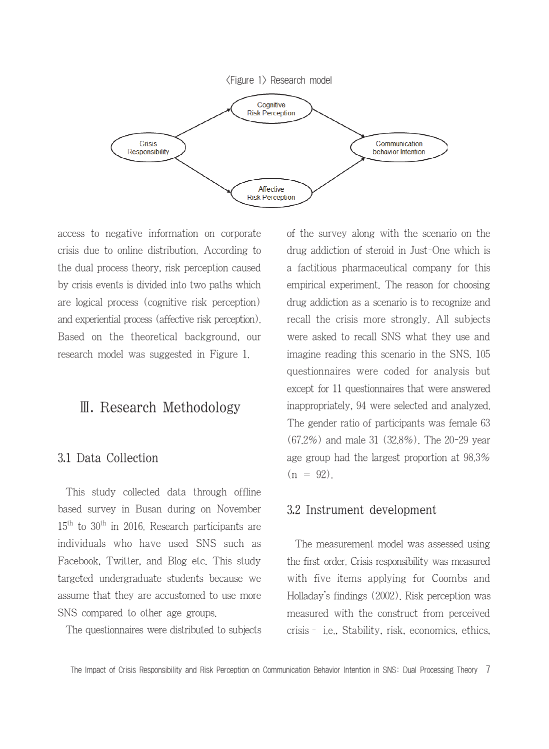

access to negative information on corporate crisis due to online distribution. According to the dual process theory, risk perception caused by crisis events is divided into two paths which are logical process (cognitive risk perception) and experiential process (affective risk perception). Based on the theoretical background, our research model was suggested in Figure 1.

### Ⅲ. Research Methodology

#### 3.1 Data Collection

This study collected data through offline based survey in Busan during on November  $15<sup>th</sup>$  to  $30<sup>th</sup>$  in 2016. Research participants are individuals who have used SNS such as Facebook, Twitter, and Blog etc. This study targeted undergraduate students because we assume that they are accustomed to use more SNS compared to other age groups.

The questionnaires were distributed to subjects

of the survey along with the scenario on the drug addiction of steroid in Just-One which is a factitious pharmaceutical company for this empirical experiment. The reason for choosing drug addiction as a scenario is to recognize and recall the crisis more strongly. All subjects were asked to recall SNS what they use and imagine reading this scenario in the SNS. 105 questionnaires were coded for analysis but except for 11 questionnaires that were answered inappropriately, 94 were selected and analyzed. The gender ratio of participants was female 63 (67.2%) and male 31 (32.8%). The 20-29 year age group had the largest proportion at 98.3%  $(n = 92)$ .

#### 3.2 Instrument development

The measurement model was assessed using the first-order. Crisis responsibility was measured with five items applying for Coombs and Holladay's findings (2002). Risk perception was measured with the construct from perceived crisis– i.e., Stability, risk, economics, ethics,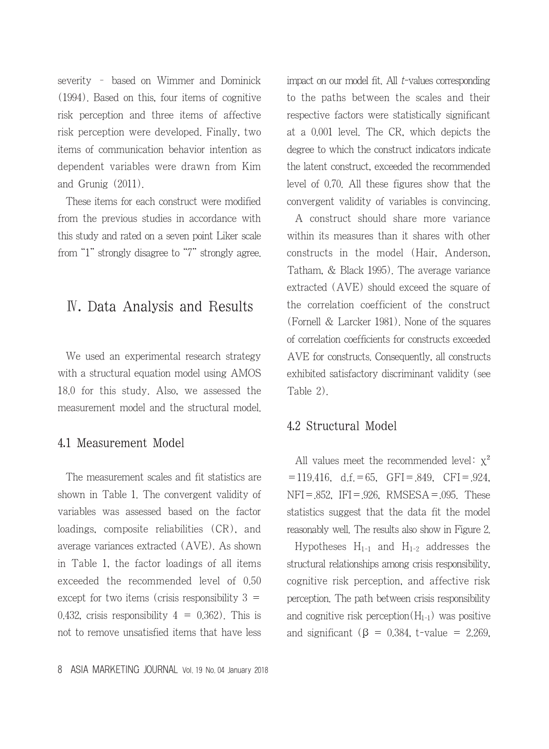severity – based on Wimmer and Dominick (1994). Based on this, four items of cognitive risk perception and three items of affective risk perception were developed. Finally, two items of communication behavior intention as dependent variables were drawn from Kim and Grunig (2011).

These items for each construct were modified from the previous studies in accordance with this study and rated on a seven point Liker scale from "1" strongly disagree to "7" strongly agree.

## Ⅳ. Data Analysis and Results

We used an experimental research strategy with a structural equation model using AMOS 18.0 for this study. Also, we assessed the measurement model and the structural model.

#### 4.1 Measurement Model

The measurement scales and fit statistics are shown in Table 1. The convergent validity of variables was assessed based on the factor loadings, composite reliabilities (CR), and average variances extracted (AVE). As shown in Table 1, the factor loadings of all items exceeded the recommended level of 0.50 except for two items (crisis responsibility  $3 =$ 0.432, crisis responsibility  $4 = 0.362$ . This is not to remove unsatisfied items that have less impact on our model fit. All t-values corresponding to the paths between the scales and their respective factors were statistically significant at a 0.001 level. The CR, which depicts the degree to which the construct indicators indicate the latent construct, exceeded the recommended level of 0.70. All these figures show that the convergent validity of variables is convincing.

A construct should share more variance within its measures than it shares with other constructs in the model (Hair, Anderson, Tatham, & Black 1995). The average variance extracted (AVE) should exceed the square of the correlation coefficient of the construct (Fornell & Larcker 1981). None of the squares of correlation coefficients for constructs exceeded AVE for constructs. Consequently, all constructs exhibited satisfactory discriminant validity (see Table 2).

### 4.2 Structural Model

All values meet the recommended level:  $x^2$  $=119.416$ , d.f.  $=65$ , GFI  $= .849$ , CFI  $= .924$ , NFI=.852, IFI=.926, RMSESA=.095. These statistics suggest that the data fit the model reasonably well. The results also show in Figure 2.

Hypotheses  $H_{1-1}$  and  $H_{1-2}$  addresses the structural relationships among crisis responsibility, cognitive risk perception, and affective risk perception. The path between crisis responsibility and cognitive risk perception $(H_{1-1})$  was positive and significant ( $\beta$  = 0.384, t-value = 2.269,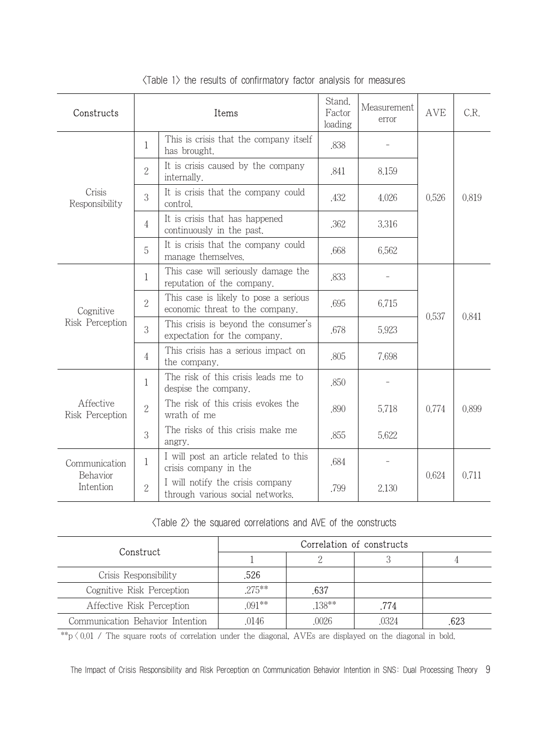| Constructs                             | Items          |                                                                              | Stand.<br>Factor<br>loading | Measurement<br>error | <b>AVE</b> | C.R.  |
|----------------------------------------|----------------|------------------------------------------------------------------------------|-----------------------------|----------------------|------------|-------|
| Crisis<br>Responsibility               | $\mathbf{1}$   | This is crisis that the company itself<br>has brought.                       | .838                        |                      | 0,526      | 0.819 |
|                                        | $\overline{2}$ | It is crisis caused by the company<br>internally.                            | .841                        | 8.159                |            |       |
|                                        | 3              | It is crisis that the company could<br>control                               | .432                        | 4.026                |            |       |
|                                        | 4              | It is crisis that has happened<br>continuously in the past.                  | .362                        | 3,316                |            |       |
|                                        | 5              | It is crisis that the company could<br>manage themselves.                    | .668                        | 6,562                |            |       |
| Cognitive<br>Risk Perception           | 1              | This case will seriously damage the<br>reputation of the company.            | .833                        |                      | 0.537      | 0.841 |
|                                        | $\overline{2}$ | This case is likely to pose a serious<br>economic threat to the company.     | .695                        | 6,715                |            |       |
|                                        | 3              | This crisis is beyond the consumer's<br>.678<br>expectation for the company. |                             | 5.923                |            |       |
|                                        | 4              | This crisis has a serious impact on<br>the company.                          | .805                        | 7.698                |            |       |
| Affective<br>Risk Perception           | 1              | The risk of this crisis leads me to<br>despise the company.                  | .850                        |                      | 0.774      | 0.899 |
|                                        | $\mathbf{2}$   | The risk of this crisis evokes the<br>wrath of me                            | .890                        | 5.718                |            |       |
|                                        | 3              | The risks of this crisis make me<br>angry.                                   | .855                        | 5.622                |            |       |
| Communication<br>Behavior<br>Intention | 1              | I will post an article related to this<br>crisis company in the              | .684                        |                      | 0.624      | 0.711 |
|                                        | $\overline{2}$ | I will notify the crisis company<br>through various social networks.         | .799                        | 2.130                |            |       |

<Table 1> the results of confirmatory factor analysis for measures

<Table 2> the squared correlations and AVE of the constructs

| Construct                        | Correlation of constructs |        |       |      |  |  |
|----------------------------------|---------------------------|--------|-------|------|--|--|
|                                  |                           |        |       |      |  |  |
| Crisis Responsibility            | .526                      |        |       |      |  |  |
| Cognitive Risk Perception        | $.275***$                 | .637   |       |      |  |  |
| Affective Risk Perception        | $.091**$                  | .138** | .774  |      |  |  |
| Communication Behavior Intention | 0146                      | 0026   | .0324 | .623 |  |  |

\*\*p  $\langle 0.01 \rangle$  The square roots of correlation under the diagonal, AVEs are displayed on the diagonal in bold.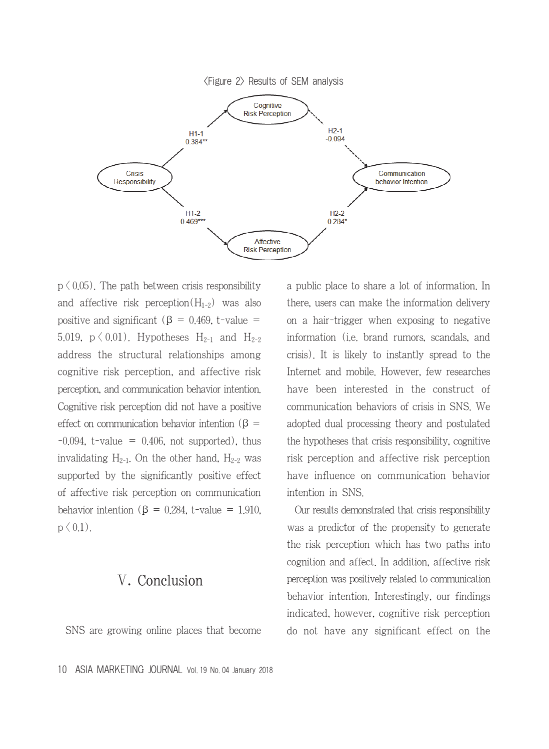

 $p \n\leq 0.05$ ). The path between crisis responsibility and affective risk perception $(H_{1-2})$  was also positive and significant ( $\beta$  = 0.469, t-value = 5.019,  $p \le 0.01$ ). Hypotheses  $H_{2-1}$  and  $H_{2-2}$ address the structural relationships among cognitive risk perception, and affective risk perception, and communication behavior intention. Cognitive risk perception did not have a positive effect on communication behavior intention ( $\beta$  =  $-0.094$ , t-value = 0.406, not supported), thus invalidating  $H_{2-1}$ . On the other hand,  $H_{2-2}$  was supported by the significantly positive effect of affective risk perception on communication behavior intention ( $\beta = 0.284$ , t-value = 1.910,  $p \, \langle 0.1 \rangle$ .

## Ⅴ. Conclusion

SNS are growing online places that become

a public place to share a lot of information. In there, users can make the information delivery on a hair-trigger when exposing to negative information (i.e. brand rumors, scandals, and crisis). It is likely to instantly spread to the Internet and mobile. However, few researches have been interested in the construct of communication behaviors of crisis in SNS. We adopted dual processing theory and postulated the hypotheses that crisis responsibility, cognitive risk perception and affective risk perception have influence on communication behavior intention in SNS.

Our results demonstrated that crisis responsibility was a predictor of the propensity to generate the risk perception which has two paths into cognition and affect. In addition, affective risk perception was positively related to communication behavior intention. Interestingly, our findings indicated, however, cognitive risk perception do not have any significant effect on the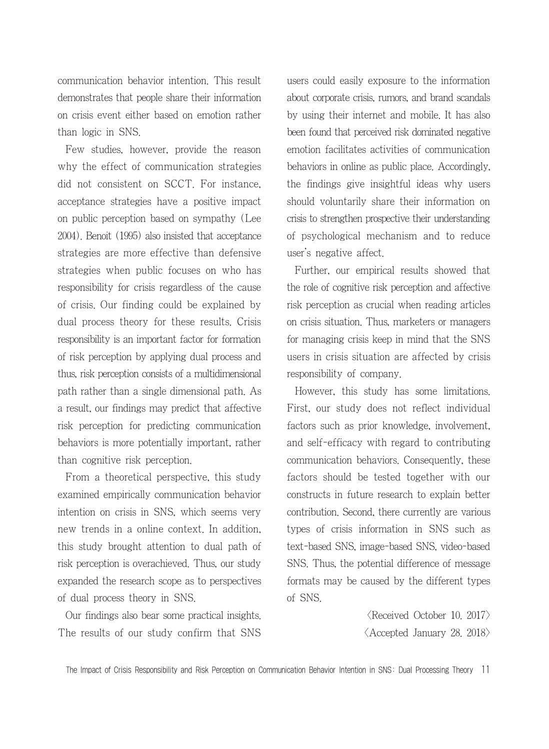communication behavior intention. This result demonstrates that people share their information on crisis event either based on emotion rather than logic in SNS.

Few studies, however, provide the reason why the effect of communication strategies did not consistent on SCCT. For instance, acceptance strategies have a positive impact on public perception based on sympathy (Lee 2004). Benoit (1995) also insisted that acceptance strategies are more effective than defensive strategies when public focuses on who has responsibility for crisis regardless of the cause of crisis. Our finding could be explained by dual process theory for these results. Crisis responsibility is an important factor for formation of risk perception by applying dual process and thus, risk perception consists of a multidimensional path rather than a single dimensional path. As a result, our findings may predict that affective risk perception for predicting communication behaviors is more potentially important, rather than cognitive risk perception.

From a theoretical perspective, this study examined empirically communication behavior intention on crisis in SNS, which seems very new trends in a online context. In addition, this study brought attention to dual path of risk perception is overachieved. Thus, our study expanded the research scope as to perspectives of dual process theory in SNS.

Our findings also bear some practical insights. The results of our study confirm that SNS users could easily exposure to the information about corporate crisis, rumors, and brand scandals by using their internet and mobile. It has also been found that perceived risk dominated negative emotion facilitates activities of communication behaviors in online as public place. Accordingly, the findings give insightful ideas why users should voluntarily share their information on crisis to strengthen prospective their understanding of psychological mechanism and to reduce user's negative affect.

Further, our empirical results showed that the role of cognitive risk perception and affective risk perception as crucial when reading articles on crisis situation. Thus, marketers or managers for managing crisis keep in mind that the SNS users in crisis situation are affected by crisis responsibility of company.

However, this study has some limitations. First, our study does not reflect individual factors such as prior knowledge, involvement, and self-efficacy with regard to contributing communication behaviors. Consequently, these factors should be tested together with our constructs in future research to explain better contribution. Second, there currently are various types of crisis information in SNS such as text-based SNS, image-based SNS, video-based SNS. Thus, the potential difference of message formats may be caused by the different types of SNS.

> $\langle$ Received October 10. 2017 $\rangle$ <Accepted January 28. 2018>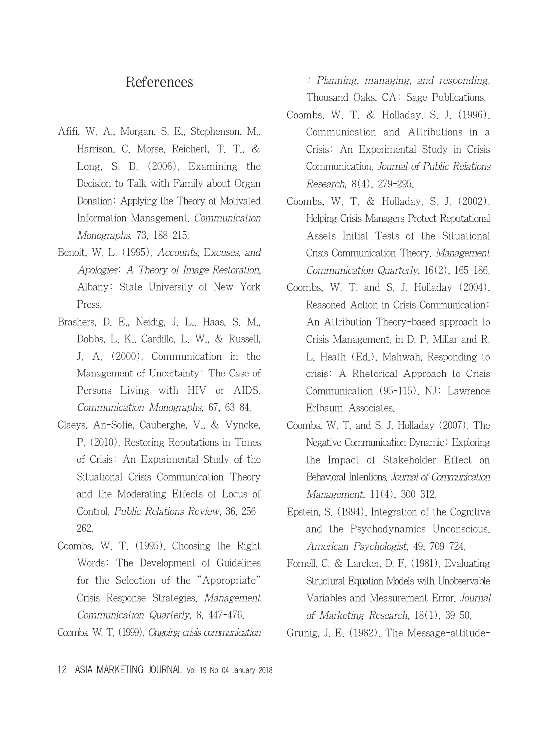### References

- Afifi, W. A., Morgan, S. E,, Stephenson, M., Harrison, C. Morse, Reichert, T. T., & Long, S. D. (2006). Examining the Decision to Talk with Family about Organ Donation: Applying the Theory of Motivated Information Management. Communication Monographs, 73, 188-215.
- Benoit, W. L. (1995). Accounts, Excuses, and Apologies: A Theory of Image Restoration, Albany: State University of New York Press.
- Brashers, D. E., Neidig, J. L,. Haas, S. M., Dobbs, L. K., Cardillo, L. W., & Russell, J. A. (2000). Communication in the Management of Uncertainty: The Case of Persons Living with HIV or AIDS. Communication Monographs, 67, 63-84.
- Claeys, An-Sofie, Cauberghe, V., & Vyncke, P. (2010). Restoring Reputations in Times of Crisis: An Experimental Study of the Situational Crisis Communication Theory and the Moderating Effects of Locus of Control. Public Relations Review, 36, 256- 262.
- Coombs, W. T. (1995). Choosing the Right Words: The Development of Guidelines for the Selection of the "Appropriate" Crisis Response Strategies. Management Communication Quarterly, 8, 447-476.

Coombs, W. T. (1999). Ongoing crisis communication

: Planning, managing, and responding. Thousand Oaks, CA: Sage Publications.

- Coombs, W. T. & Holladay. S. J. (1996). Communication and Attributions in a Crisis: An Experimental Study in Crisis Communication. Journal of Public Relations Research, 8(4), 279-295.
- Coombs, W. T. & Holladay. S. J. (2002). Helping Crisis Managers Protect Reputational Assets Initial Tests of the Situational Crisis Communication Theory. Management Communication Quarterly, 16(2), 165-186.
- Coombs, W. T. and S. J. Holladay (2004), Reasoned Action in Crisis Communication: An Attribution Theory-based approach to Crisis Management. in D. P. Millar and R. L. Heath (Ed.), Mahwah, Responding to crisis: A Rhetorical Approach to Crisis Communication (95-115). NJ: Lawrence Erlbaum Associates.
- Coombs, W. T. and S. J. Holladay (2007). The Negative Communication Dynamic: Exploring the Impact of Stakeholder Effect on Behavioral Intentions. Journal of Communication Management, 11(4), 300-312.
- Epstein, S. (1994). Integration of the Cognitive and the Psychodynamics Unconscious. American Psychologist, 49, 709-724.
- Fornell, C. & Larcker, D. F. (1981). Evaluating Structural Equation Models with Unobservable Variables and Measurement Error. Journal of Marketing Research, 18(1), 39-50.
- Grunig, J. E. (1982). The Message-attitude-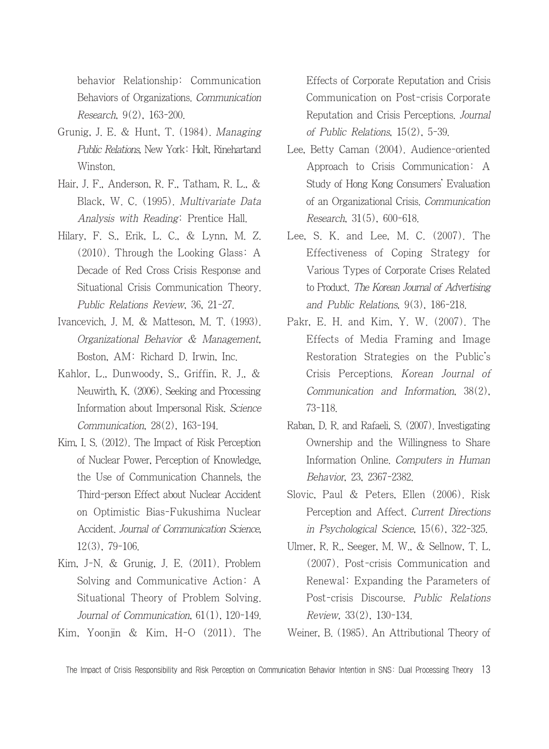behavior Relationship: Communication Behaviors of Organizations. Communication Research, 9(2), 163-200.

- Grunig, J. E. & Hunt, T. (1984). Managing Public Relations, New York: Holt, Rinehartand Winston.
- Hair, J. F., Anderson, R. F., Tatham, R. L., & Black, W. C. (1995). Multivariate Data Analysis with Reading: Prentice Hall.
- Hilary, F. S., Erik, L. C., & Lynn, M. Z. (2010). Through the Looking Glass: A Decade of Red Cross Crisis Response and Situational Crisis Communication Theory. Public Relations Review, 36, 21-27.
- Ivancevich, J. M. & Matteson, M. T. (1993). Organizational Behavior & Management, Boston, AM: Richard D. Irwin, Inc.
- Kahlor, L., Dunwoody, S., Griffin, R. J., & Neuwirth, K. (2006). Seeking and Processing Information about Impersonal Risk. Science Communication, 28(2), 163-194.
- Kim, I. S. (2012). The Impact of Risk Perception of Nuclear Power, Perception of Knowledge, the Use of Communication Channels, the Third-person Effect about Nuclear Accident on Optimistic Bias-Fukushima Nuclear Accident. Journal of Communication Science, 12(3), 79-106.
- Kim, J-N. & Grunig, J. E. (2011). Problem Solving and Communicative Action: A Situational Theory of Problem Solving. Journal of Communication, 61(1), 120-149.
- Kim, Yoonjin & Kim, H-O (2011). The

Effects of Corporate Reputation and Crisis Communication on Post-crisis Corporate Reputation and Crisis Perceptions. Journal of Public Relations, 15(2), 5-39.

- Lee, Betty Caman (2004). Audience-oriented Approach to Crisis Communication: A Study of Hong Kong Consumers' Evaluation of an Organizational Crisis. Communication Research, 31(5), 600-618.
- Lee, S. K. and Lee, M. C. (2007). The Effectiveness of Coping Strategy for Various Types of Corporate Crises Related to Product. The Korean Journal of Advertising and Public Relations, 9(3), 186-218.
- Pakr, E. H. and Kim, Y. W. (2007). The Effects of Media Framing and Image Restoration Strategies on the Public's Crisis Perceptions. Korean Journal of Communication and Information, 38(2), 73-118.
- Raban, D. R. and Rafaeli, S. (2007). Investigating Ownership and the Willingness to Share Information Online. Computers in Human Behavior, 23, 2367-2382.
- Slovic, Paul & Peters, Ellen (2006). Risk Perception and Affect. Current Directions in Psychological Science, 15(6), 322-325.
- Ulmer, R. R., Seeger, M. W., & Sellnow, T. L. (2007). Post-crisis Communication and Renewal: Expanding the Parameters of Post-crisis Discourse. Public Relations Review, 33(2), 130-134.

Weiner, B. (1985). An Attributional Theory of